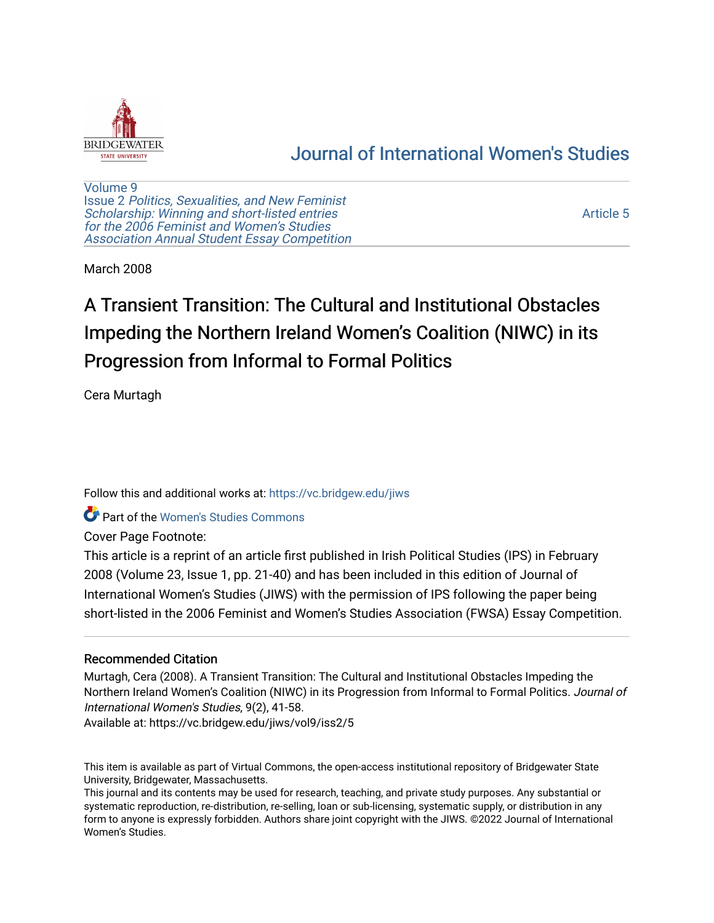

# [Journal of International Women's Studies](https://vc.bridgew.edu/jiws)

[Volume 9](https://vc.bridgew.edu/jiws/vol9) Issue 2 [Politics, Sexualities, and New Feminist](https://vc.bridgew.edu/jiws/vol9/iss2) [Scholarship: Winning and short-listed entries](https://vc.bridgew.edu/jiws/vol9/iss2) [for the 2006 Feminist and Women's Studies](https://vc.bridgew.edu/jiws/vol9/iss2)  [Association Annual Student Essay Competition](https://vc.bridgew.edu/jiws/vol9/iss2)

[Article 5](https://vc.bridgew.edu/jiws/vol9/iss2/5) 

March 2008

# A Transient Transition: The Cultural and Institutional Obstacles Impeding the Northern Ireland Women's Coalition (NIWC) in its Progression from Informal to Formal Politics

Cera Murtagh

Follow this and additional works at: [https://vc.bridgew.edu/jiws](https://vc.bridgew.edu/jiws?utm_source=vc.bridgew.edu%2Fjiws%2Fvol9%2Fiss2%2F5&utm_medium=PDF&utm_campaign=PDFCoverPages)

Part of the [Women's Studies Commons](http://network.bepress.com/hgg/discipline/561?utm_source=vc.bridgew.edu%2Fjiws%2Fvol9%2Fiss2%2F5&utm_medium=PDF&utm_campaign=PDFCoverPages) 

Cover Page Footnote:

This article is a reprint of an article first published in Irish Political Studies (IPS) in February 2008 (Volume 23, Issue 1, pp. 21-40) and has been included in this edition of Journal of International Women's Studies (JIWS) with the permission of IPS following the paper being short-listed in the 2006 Feminist and Women's Studies Association (FWSA) Essay Competition.

# Recommended Citation

Murtagh, Cera (2008). A Transient Transition: The Cultural and Institutional Obstacles Impeding the Northern Ireland Women's Coalition (NIWC) in its Progression from Informal to Formal Politics. Journal of International Women's Studies, 9(2), 41-58.

Available at: https://vc.bridgew.edu/jiws/vol9/iss2/5

This item is available as part of Virtual Commons, the open-access institutional repository of Bridgewater State University, Bridgewater, Massachusetts.

This journal and its contents may be used for research, teaching, and private study purposes. Any substantial or systematic reproduction, re-distribution, re-selling, loan or sub-licensing, systematic supply, or distribution in any form to anyone is expressly forbidden. Authors share joint copyright with the JIWS. ©2022 Journal of International Women's Studies.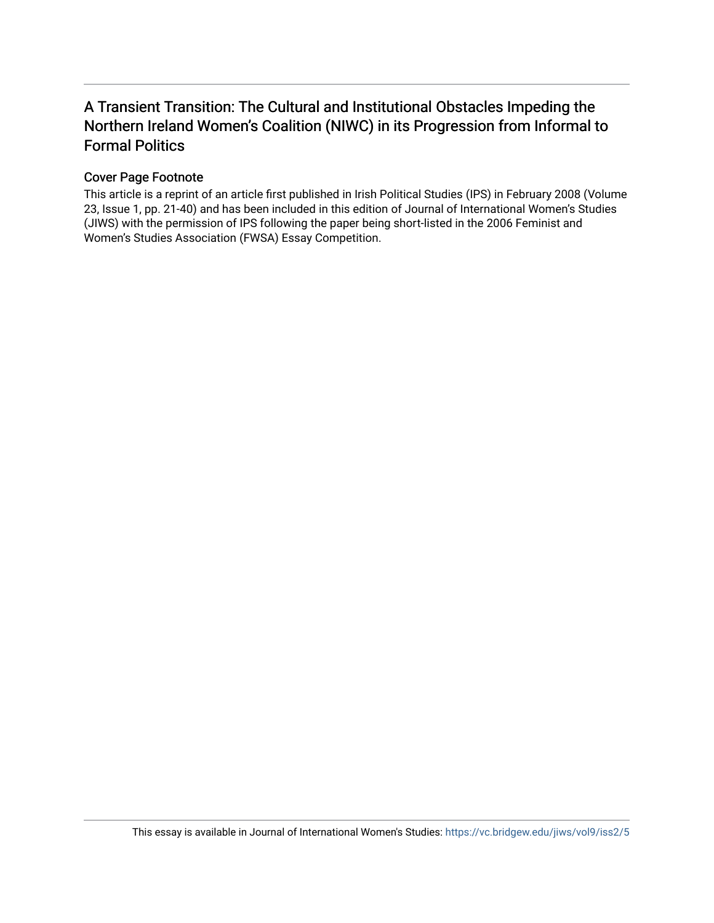# A Transient Transition: The Cultural and Institutional Obstacles Impeding the Northern Ireland Women's Coalition (NIWC) in its Progression from Informal to Formal Politics

# Cover Page Footnote

This article is a reprint of an article first published in Irish Political Studies (IPS) in February 2008 (Volume 23, Issue 1, pp. 21-40) and has been included in this edition of Journal of International Women's Studies (JIWS) with the permission of IPS following the paper being short-listed in the 2006 Feminist and Women's Studies Association (FWSA) Essay Competition.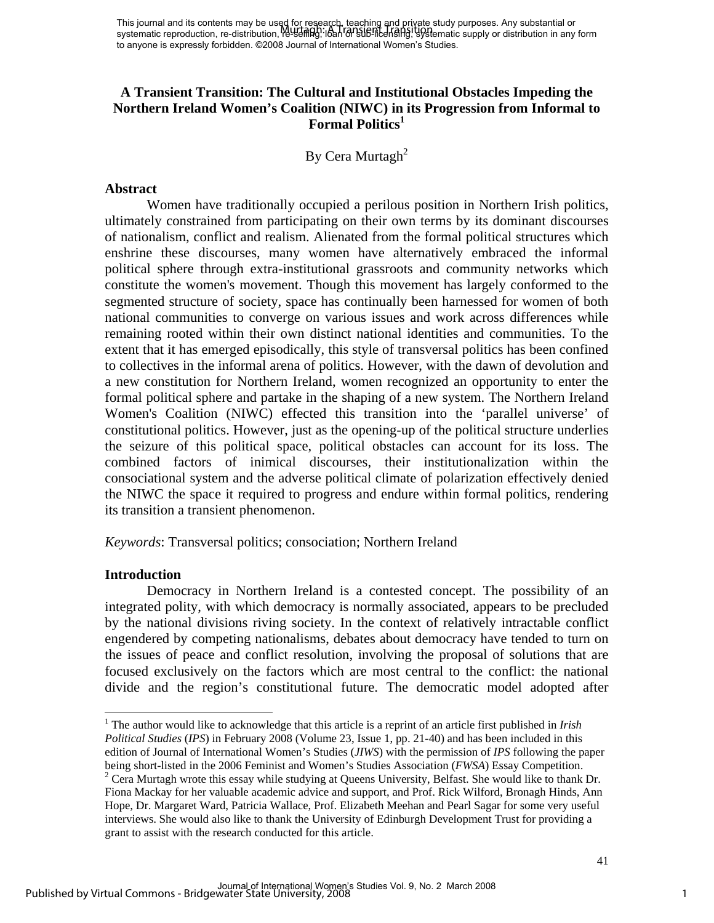# **A Transient Transition: The Cultural and Institutional Obstacles Impeding the Northern Ireland Women's Coalition (NIWC) in its Progression from Informal to Formal Politics1**

By Cera Murtagh<sup>2</sup>

#### **Abstract**

Women have traditionally occupied a perilous position in Northern Irish politics, ultimately constrained from participating on their own terms by its dominant discourses of nationalism, conflict and realism. Alienated from the formal political structures which enshrine these discourses, many women have alternatively embraced the informal political sphere through extra-institutional grassroots and community networks which constitute the women's movement. Though this movement has largely conformed to the segmented structure of society, space has continually been harnessed for women of both national communities to converge on various issues and work across differences while remaining rooted within their own distinct national identities and communities. To the extent that it has emerged episodically, this style of transversal politics has been confined to collectives in the informal arena of politics. However, with the dawn of devolution and a new constitution for Northern Ireland, women recognized an opportunity to enter the formal political sphere and partake in the shaping of a new system. The Northern Ireland Women's Coalition (NIWC) effected this transition into the 'parallel universe' of constitutional politics. However, just as the opening-up of the political structure underlies the seizure of this political space, political obstacles can account for its loss. The combined factors of inimical discourses, their institutionalization within the consociational system and the adverse political climate of polarization effectively denied the NIWC the space it required to progress and endure within formal politics, rendering its transition a transient phenomenon.

*Keywords*: Transversal politics; consociation; Northern Ireland

# **Introduction**

Democracy in Northern Ireland is a contested concept. The possibility of an integrated polity, with which democracy is normally associated, appears to be precluded by the national divisions riving society. In the context of relatively intractable conflict engendered by competing nationalisms, debates about democracy have tended to turn on the issues of peace and conflict resolution, involving the proposal of solutions that are focused exclusively on the factors which are most central to the conflict: the national divide and the region's constitutional future. The democratic model adopted after

l <sup>1</sup> The author would like to acknowledge that this article is a reprint of an article first published in *Irish Political Studies* (*IPS*) in February 2008 (Volume 23, Issue 1, pp. 21-40) and has been included in this edition of Journal of International Women's Studies (*JIWS*) with the permission of *IPS* following the paper being short-listed in the 2006 Feminist and Women's Studies Association (*FWSA*) Essay Competition. 2 <sup>2</sup> Cera Murtagh wrote this essay while studying at Queens University, Belfast. She would like to thank Dr. Fiona Mackay for her valuable academic advice and support, and Prof. Rick Wilford, Bronagh Hinds, Ann Hope, Dr. Margaret Ward, Patricia Wallace, Prof. Elizabeth Meehan and Pearl Sagar for some very useful

interviews. She would also like to thank the University of Edinburgh Development Trust for providing a grant to assist with the research conducted for this article.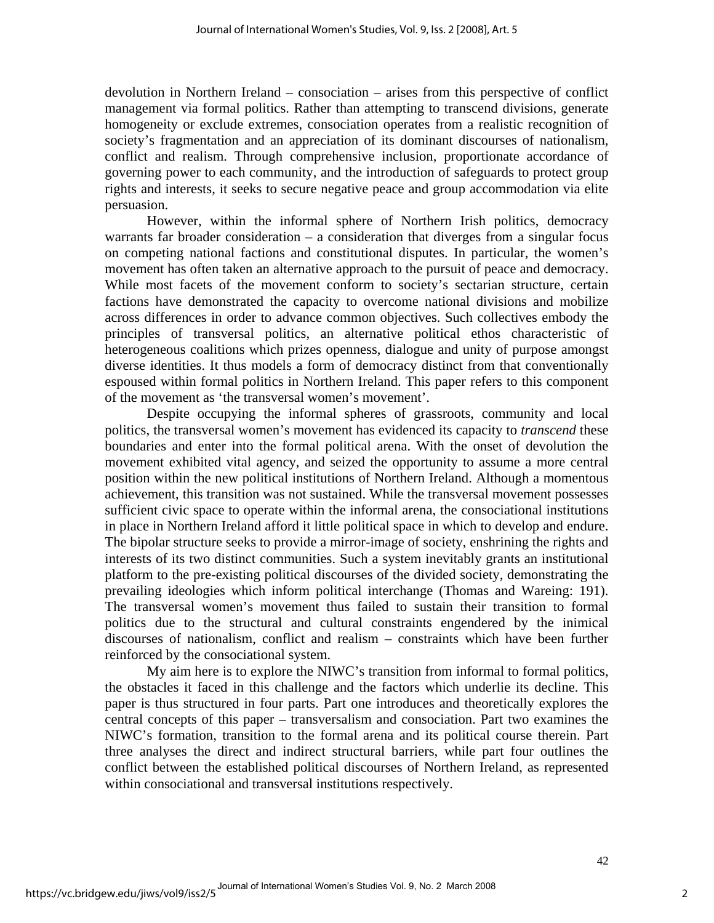devolution in Northern Ireland – consociation *–* arises from this perspective of conflict management via formal politics. Rather than attempting to transcend divisions, generate homogeneity or exclude extremes, consociation operates from a realistic recognition of society's fragmentation and an appreciation of its dominant discourses of nationalism, conflict and realism. Through comprehensive inclusion, proportionate accordance of governing power to each community, and the introduction of safeguards to protect group rights and interests, it seeks to secure negative peace and group accommodation via elite persuasion.

However, within the informal sphere of Northern Irish politics, democracy warrants far broader consideration – a consideration that diverges from a singular focus on competing national factions and constitutional disputes. In particular, the women's movement has often taken an alternative approach to the pursuit of peace and democracy. While most facets of the movement conform to society's sectarian structure, certain factions have demonstrated the capacity to overcome national divisions and mobilize across differences in order to advance common objectives. Such collectives embody the principles of transversal politics, an alternative political ethos characteristic of heterogeneous coalitions which prizes openness, dialogue and unity of purpose amongst diverse identities. It thus models a form of democracy distinct from that conventionally espoused within formal politics in Northern Ireland. This paper refers to this component of the movement as 'the transversal women's movement'.

Despite occupying the informal spheres of grassroots, community and local politics, the transversal women's movement has evidenced its capacity to *transcend* these boundaries and enter into the formal political arena. With the onset of devolution the movement exhibited vital agency, and seized the opportunity to assume a more central position within the new political institutions of Northern Ireland. Although a momentous achievement, this transition was not sustained. While the transversal movement possesses sufficient civic space to operate within the informal arena, the consociational institutions in place in Northern Ireland afford it little political space in which to develop and endure. The bipolar structure seeks to provide a mirror-image of society, enshrining the rights and interests of its two distinct communities. Such a system inevitably grants an institutional platform to the pre-existing political discourses of the divided society, demonstrating the prevailing ideologies which inform political interchange (Thomas and Wareing: 191). The transversal women's movement thus failed to sustain their transition to formal politics due to the structural and cultural constraints engendered by the inimical discourses of nationalism, conflict and realism – constraints which have been further reinforced by the consociational system.

My aim here is to explore the NIWC's transition from informal to formal politics, the obstacles it faced in this challenge and the factors which underlie its decline. This paper is thus structured in four parts. Part one introduces and theoretically explores the central concepts of this paper – transversalism and consociation. Part two examines the NIWC's formation, transition to the formal arena and its political course therein. Part three analyses the direct and indirect structural barriers, while part four outlines the conflict between the established political discourses of Northern Ireland, as represented within consociational and transversal institutions respectively.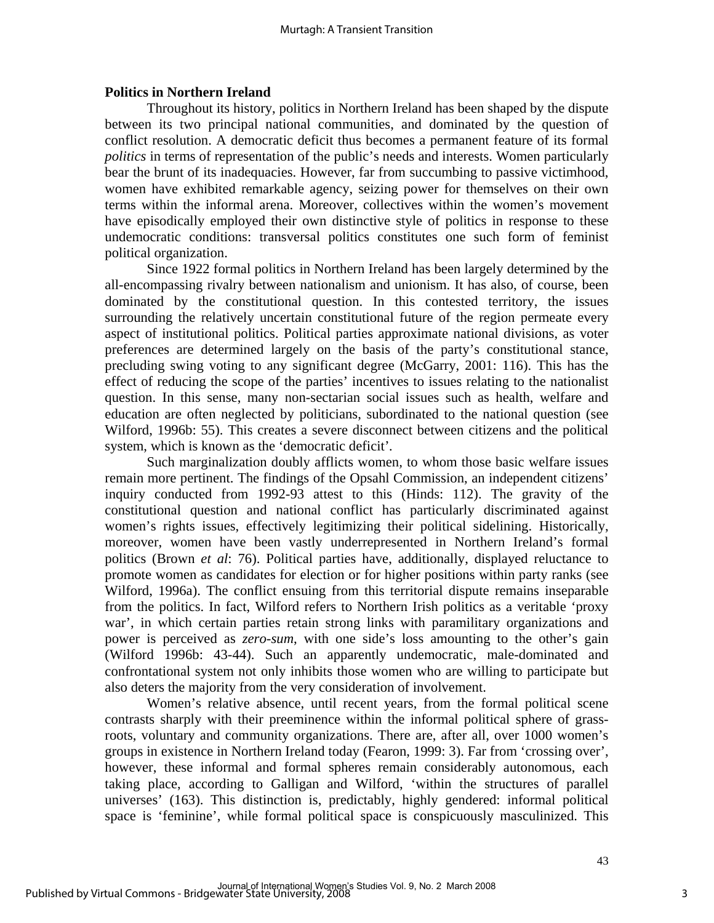# **Politics in Northern Ireland**

Throughout its history, politics in Northern Ireland has been shaped by the dispute between its two principal national communities, and dominated by the question of conflict resolution. A democratic deficit thus becomes a permanent feature of its formal *politics* in terms of representation of the public's needs and interests. Women particularly bear the brunt of its inadequacies. However, far from succumbing to passive victimhood, women have exhibited remarkable agency, seizing power for themselves on their own terms within the informal arena. Moreover, collectives within the women's movement have episodically employed their own distinctive style of politics in response to these undemocratic conditions: transversal politics constitutes one such form of feminist political organization.

Since 1922 formal politics in Northern Ireland has been largely determined by the all-encompassing rivalry between nationalism and unionism. It has also, of course, been dominated by the constitutional question. In this contested territory, the issues surrounding the relatively uncertain constitutional future of the region permeate every aspect of institutional politics. Political parties approximate national divisions, as voter preferences are determined largely on the basis of the party's constitutional stance, precluding swing voting to any significant degree (McGarry, 2001: 116). This has the effect of reducing the scope of the parties' incentives to issues relating to the nationalist question. In this sense, many non-sectarian social issues such as health, welfare and education are often neglected by politicians, subordinated to the national question (see Wilford, 1996b: 55). This creates a severe disconnect between citizens and the political system, which is known as the 'democratic deficit'*.* 

Such marginalization doubly afflicts women*,* to whom those basic welfare issues remain more pertinent. The findings of the Opsahl Commission, an independent citizens' inquiry conducted from 1992-93 attest to this (Hinds: 112). The gravity of the constitutional question and national conflict has particularly discriminated against women's rights issues, effectively legitimizing their political sidelining. Historically, moreover, women have been vastly underrepresented in Northern Ireland's formal politics (Brown *et al*: 76). Political parties have, additionally, displayed reluctance to promote women as candidates for election or for higher positions within party ranks (see Wilford, 1996a). The conflict ensuing from this territorial dispute remains inseparable from the politics. In fact, Wilford refers to Northern Irish politics as a veritable 'proxy war', in which certain parties retain strong links with paramilitary organizations and power is perceived as *zero-sum*, with one side's loss amounting to the other's gain (Wilford 1996b: 43-44). Such an apparently undemocratic, male-dominated and confrontational system not only inhibits those women who are willing to participate but also deters the majority from the very consideration of involvement.

Women's relative absence, until recent years, from the formal political scene contrasts sharply with their preeminence within the informal political sphere of grassroots, voluntary and community organizations. There are, after all, over 1000 women's groups in existence in Northern Ireland today (Fearon, 1999: 3). Far from 'crossing over', however, these informal and formal spheres remain considerably autonomous, each taking place, according to Galligan and Wilford, 'within the structures of parallel universes' (163). This distinction is, predictably, highly gendered: informal political space is 'feminine', while formal political space is conspicuously masculinized. This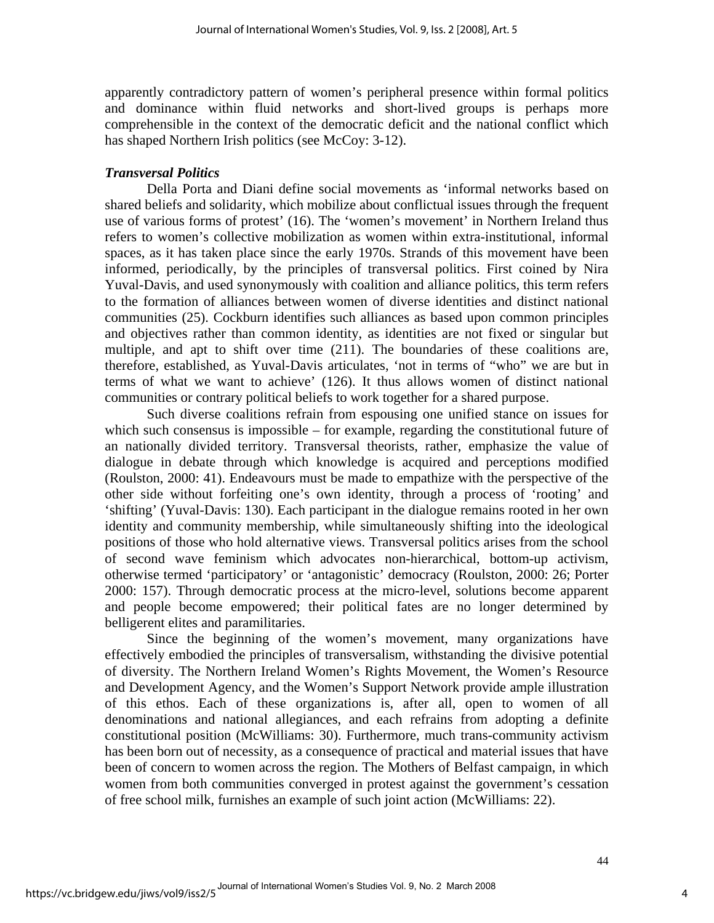apparently contradictory pattern of women's peripheral presence within formal politics and dominance within fluid networks and short-lived groups is perhaps more comprehensible in the context of the democratic deficit and the national conflict which has shaped Northern Irish politics (see McCoy: 3-12).

#### *Transversal Politics*

Della Porta and Diani define social movements as 'informal networks based on shared beliefs and solidarity, which mobilize about conflictual issues through the frequent use of various forms of protest' (16). The 'women's movement' in Northern Ireland thus refers to women's collective mobilization as women within extra-institutional, informal spaces, as it has taken place since the early 1970s. Strands of this movement have been informed, periodically, by the principles of transversal politics. First coined by Nira Yuval-Davis, and used synonymously with coalition and alliance politics*,* this term refers to the formation of alliances between women of diverse identities and distinct national communities (25). Cockburn identifies such alliances as based upon common principles and objectives rather than common identity, as identities are not fixed or singular but multiple, and apt to shift over time (211). The boundaries of these coalitions are, therefore, established, as Yuval-Davis articulates, 'not in terms of "who" we are but in terms of what we want to achieve' (126). It thus allows women of distinct national communities or contrary political beliefs to work together for a shared purpose.

Such diverse coalitions refrain from espousing one unified stance on issues for which such consensus is impossible – for example, regarding the constitutional future of an nationally divided territory. Transversal theorists, rather, emphasize the value of dialogue in debate through which knowledge is acquired and perceptions modified (Roulston, 2000: 41). Endeavours must be made to empathize with the perspective of the other side without forfeiting one's own identity, through a process of 'rooting' and 'shifting' (Yuval-Davis: 130). Each participant in the dialogue remains rooted in her own identity and community membership, while simultaneously shifting into the ideological positions of those who hold alternative views. Transversal politics arises from the school of second wave feminism which advocates non-hierarchical, bottom-up activism, otherwise termed 'participatory' or 'antagonistic' democracy (Roulston, 2000: 26; Porter 2000: 157). Through democratic process at the micro-level, solutions become apparent and people become empowered; their political fates are no longer determined by belligerent elites and paramilitaries.

Since the beginning of the women's movement, many organizations have effectively embodied the principles of transversalism, withstanding the divisive potential of diversity. The Northern Ireland Women's Rights Movement, the Women's Resource and Development Agency, and the Women's Support Network provide ample illustration of this ethos. Each of these organizations is, after all, open to women of all denominations and national allegiances, and each refrains from adopting a definite constitutional position (McWilliams: 30). Furthermore, much trans-community activism has been born out of necessity, as a consequence of practical and material issues that have been of concern to women across the region. The Mothers of Belfast campaign, in which women from both communities converged in protest against the government's cessation of free school milk, furnishes an example of such joint action (McWilliams: 22).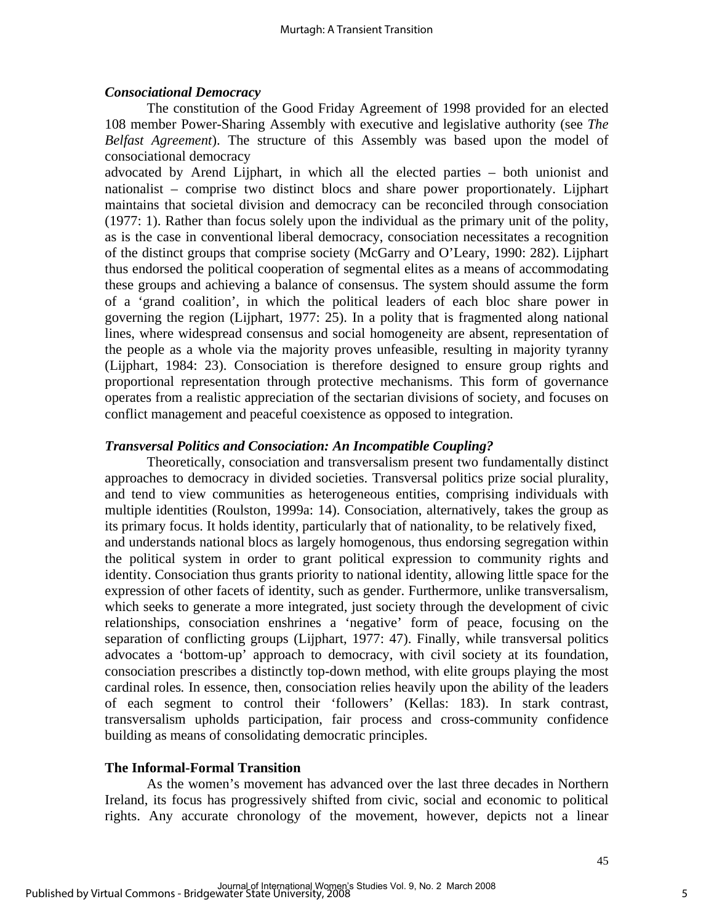# *Consociational Democracy*

The constitution of the Good Friday Agreement of 1998 provided for an elected 108 member Power-Sharing Assembly with executive and legislative authority (see *The Belfast Agreement*). The structure of this Assembly was based upon the model of consociational democracy

advocated by Arend Lijphart, in which all the elected parties – both unionist and nationalist – comprise two distinct blocs and share power proportionately. Lijphart maintains that societal division and democracy can be reconciled through consociation (1977: 1). Rather than focus solely upon the individual as the primary unit of the polity, as is the case in conventional liberal democracy, consociation necessitates a recognition of the distinct groups that comprise society (McGarry and O'Leary, 1990: 282). Lijphart thus endorsed the political cooperation of segmental elites as a means of accommodating these groups and achieving a balance of consensus. The system should assume the form of a 'grand coalition', in which the political leaders of each bloc share power in governing the region (Lijphart, 1977: 25). In a polity that is fragmented along national lines, where widespread consensus and social homogeneity are absent, representation of the people as a whole via the majority proves unfeasible, resulting in majority tyranny (Lijphart, 1984: 23). Consociation is therefore designed to ensure group rights and proportional representation through protective mechanisms. This form of governance operates from a realistic appreciation of the sectarian divisions of society, and focuses on conflict management and peaceful coexistence as opposed to integration.

# *Transversal Politics and Consociation: An Incompatible Coupling?*

Theoretically, consociation and transversalism present two fundamentally distinct approaches to democracy in divided societies. Transversal politics prize social plurality, and tend to view communities as heterogeneous entities, comprising individuals with multiple identities (Roulston, 1999a: 14). Consociation, alternatively, takes the group as its primary focus. It holds identity, particularly that of nationality, to be relatively fixed, and understands national blocs as largely homogenous, thus endorsing segregation within the political system in order to grant political expression to community rights and identity. Consociation thus grants priority to national identity, allowing little space for the expression of other facets of identity, such as gender. Furthermore, unlike transversalism, which seeks to generate a more integrated, just society through the development of civic relationships, consociation enshrines a 'negative' form of peace, focusing on the separation of conflicting groups (Lijphart, 1977: 47). Finally, while transversal politics advocates a 'bottom-up' approach to democracy, with civil society at its foundation, consociation prescribes a distinctly top-down method, with elite groups playing the most cardinal roles*.* In essence, then, consociation relies heavily upon the ability of the leaders of each segment to control their 'followers' (Kellas: 183). In stark contrast, transversalism upholds participation, fair process and cross-community confidence building as means of consolidating democratic principles.

# **The Informal-Formal Transition**

As the women's movement has advanced over the last three decades in Northern Ireland, its focus has progressively shifted from civic, social and economic to political rights. Any accurate chronology of the movement, however, depicts not a linear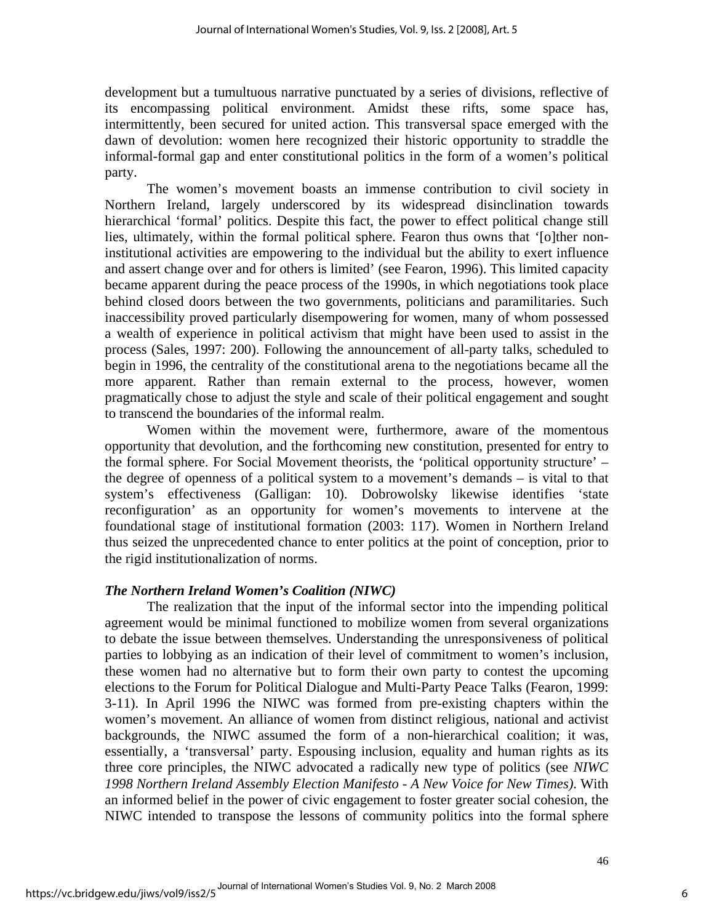development but a tumultuous narrative punctuated by a series of divisions, reflective of its encompassing political environment. Amidst these rifts, some space has, intermittently, been secured for united action. This transversal space emerged with the dawn of devolution: women here recognized their historic opportunity to straddle the informal-formal gap and enter constitutional politics in the form of a women's political party.

The women's movement boasts an immense contribution to civil society in Northern Ireland, largely underscored by its widespread disinclination towards hierarchical 'formal' politics. Despite this fact, the power to effect political change still lies, ultimately, within the formal political sphere. Fearon thus owns that '[o]ther noninstitutional activities are empowering to the individual but the ability to exert influence and assert change over and for others is limited' (see Fearon, 1996). This limited capacity became apparent during the peace process of the 1990s, in which negotiations took place behind closed doors between the two governments, politicians and paramilitaries. Such inaccessibility proved particularly disempowering for women, many of whom possessed a wealth of experience in political activism that might have been used to assist in the process (Sales, 1997: 200). Following the announcement of all-party talks, scheduled to begin in 1996, the centrality of the constitutional arena to the negotiations became all the more apparent. Rather than remain external to the process, however, women pragmatically chose to adjust the style and scale of their political engagement and sought to transcend the boundaries of the informal realm.

 Women within the movement were, furthermore, aware of the momentous opportunity that devolution, and the forthcoming new constitution, presented for entry to the formal sphere. For Social Movement theorists, the 'political opportunity structure' – the degree of openness of a political system to a movement's demands – is vital to that system's effectiveness (Galligan: 10). Dobrowolsky likewise identifies 'state reconfiguration' as an opportunity for women's movements to intervene at the foundational stage of institutional formation (2003: 117). Women in Northern Ireland thus seized the unprecedented chance to enter politics at the point of conception, prior to the rigid institutionalization of norms.

# *The Northern Ireland Women's Coalition (NIWC)*

The realization that the input of the informal sector into the impending political agreement would be minimal functioned to mobilize women from several organizations to debate the issue between themselves. Understanding the unresponsiveness of political parties to lobbying as an indication of their level of commitment to women's inclusion, these women had no alternative but to form their own party to contest the upcoming elections to the Forum for Political Dialogue and Multi-Party Peace Talks (Fearon, 1999: 3-11). In April 1996 the NIWC was formed from pre-existing chapters within the women's movement. An alliance of women from distinct religious, national and activist backgrounds, the NIWC assumed the form of a non-hierarchical coalition; it was, essentially, a 'transversal' party. Espousing inclusion, equality and human rights as its three core principles, the NIWC advocated a radically new type of politics (see *NIWC 1998 Northern Ireland Assembly Election Manifesto - A New Voice for New Times)*. With an informed belief in the power of civic engagement to foster greater social cohesion, the NIWC intended to transpose the lessons of community politics into the formal sphere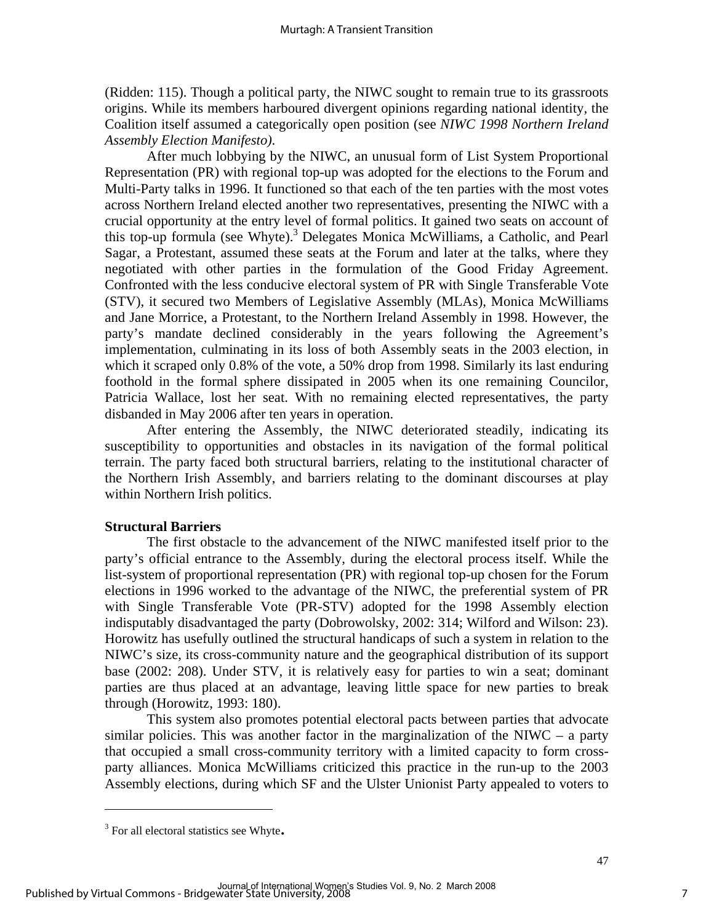(Ridden: 115). Though a political party, the NIWC sought to remain true to its grassroots origins. While its members harboured divergent opinions regarding national identity, the Coalition itself assumed a categorically open position (see *NIWC 1998 Northern Ireland Assembly Election Manifesto)*.

After much lobbying by the NIWC, an unusual form of List System Proportional Representation (PR) with regional top-up was adopted for the elections to the Forum and Multi-Party talks in 1996. It functioned so that each of the ten parties with the most votes across Northern Ireland elected another two representatives, presenting the NIWC with a crucial opportunity at the entry level of formal politics. It gained two seats on account of this top-up formula (see Whyte).3 Delegates Monica McWilliams, a Catholic, and Pearl Sagar, a Protestant, assumed these seats at the Forum and later at the talks, where they negotiated with other parties in the formulation of the Good Friday Agreement. Confronted with the less conducive electoral system of PR with Single Transferable Vote (STV), it secured two Members of Legislative Assembly (MLAs), Monica McWilliams and Jane Morrice, a Protestant, to the Northern Ireland Assembly in 1998. However, the party's mandate declined considerably in the years following the Agreement's implementation, culminating in its loss of both Assembly seats in the 2003 election, in which it scraped only 0.8% of the vote, a 50% drop from 1998. Similarly its last enduring foothold in the formal sphere dissipated in 2005 when its one remaining Councilor, Patricia Wallace, lost her seat. With no remaining elected representatives, the party disbanded in May 2006 after ten years in operation.

After entering the Assembly, the NIWC deteriorated steadily, indicating its susceptibility to opportunities and obstacles in its navigation of the formal political terrain. The party faced both structural barriers, relating to the institutional character of the Northern Irish Assembly, and barriers relating to the dominant discourses at play within Northern Irish politics.

# **Structural Barriers**

The first obstacle to the advancement of the NIWC manifested itself prior to the party's official entrance to the Assembly, during the electoral process itself. While the list-system of proportional representation (PR) with regional top-up chosen for the Forum elections in 1996 worked to the advantage of the NIWC, the preferential system of PR with Single Transferable Vote (PR-STV) adopted for the 1998 Assembly election indisputably disadvantaged the party (Dobrowolsky, 2002: 314; Wilford and Wilson: 23). Horowitz has usefully outlined the structural handicaps of such a system in relation to the NIWC's size, its cross-community nature and the geographical distribution of its support base (2002: 208). Under STV, it is relatively easy for parties to win a seat; dominant parties are thus placed at an advantage, leaving little space for new parties to break through (Horowitz, 1993: 180).

This system also promotes potential electoral pacts between parties that advocate similar policies. This was another factor in the marginalization of the NIWC – a party that occupied a small cross-community territory with a limited capacity to form crossparty alliances. Monica McWilliams criticized this practice in the run-up to the 2003 Assembly elections, during which SF and the Ulster Unionist Party appealed to voters to

 $\overline{a}$ 

 $3$  For all electoral statistics see Whyte.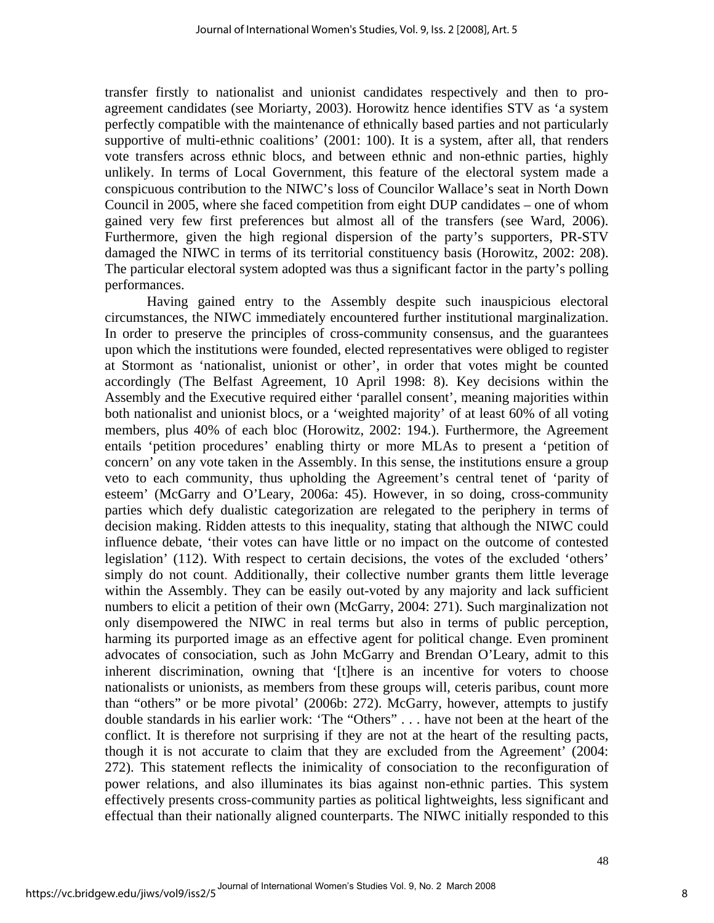transfer firstly to nationalist and unionist candidates respectively and then to proagreement candidates (see Moriarty, 2003). Horowitz hence identifies STV as 'a system perfectly compatible with the maintenance of ethnically based parties and not particularly supportive of multi-ethnic coalitions' (2001: 100). It is a system, after all, that renders vote transfers across ethnic blocs, and between ethnic and non-ethnic parties, highly unlikely. In terms of Local Government, this feature of the electoral system made a conspicuous contribution to the NIWC's loss of Councilor Wallace's seat in North Down Council in 2005, where she faced competition from eight DUP candidates – one of whom gained very few first preferences but almost all of the transfers (see Ward, 2006). Furthermore, given the high regional dispersion of the party's supporters, PR-STV damaged the NIWC in terms of its territorial constituency basis (Horowitz, 2002: 208). The particular electoral system adopted was thus a significant factor in the party's polling performances.

Having gained entry to the Assembly despite such inauspicious electoral circumstances, the NIWC immediately encountered further institutional marginalization. In order to preserve the principles of cross-community consensus, and the guarantees upon which the institutions were founded, elected representatives were obliged to register at Stormont as 'nationalist, unionist or other', in order that votes might be counted accordingly (The Belfast Agreement, 10 April 1998: 8). Key decisions within the Assembly and the Executive required either 'parallel consent', meaning majorities within both nationalist and unionist blocs, or a 'weighted majority' of at least 60% of all voting members, plus 40% of each bloc (Horowitz, 2002: 194.). Furthermore, the Agreement entails 'petition procedures' enabling thirty or more MLAs to present a 'petition of concern' on any vote taken in the Assembly. In this sense, the institutions ensure a group veto to each community, thus upholding the Agreement's central tenet of 'parity of esteem' (McGarry and O'Leary, 2006a: 45). However, in so doing, cross-community parties which defy dualistic categorization are relegated to the periphery in terms of decision making. Ridden attests to this inequality, stating that although the NIWC could influence debate, 'their votes can have little or no impact on the outcome of contested legislation' (112). With respect to certain decisions, the votes of the excluded 'others' simply do not count. Additionally, their collective number grants them little leverage within the Assembly. They can be easily out-voted by any majority and lack sufficient numbers to elicit a petition of their own (McGarry, 2004: 271). Such marginalization not only disempowered the NIWC in real terms but also in terms of public perception, harming its purported image as an effective agent for political change. Even prominent advocates of consociation, such as John McGarry and Brendan O'Leary, admit to this inherent discrimination, owning that '[t]here is an incentive for voters to choose nationalists or unionists, as members from these groups will, ceteris paribus, count more than "others" or be more pivotal' (2006b: 272). McGarry, however, attempts to justify double standards in his earlier work: 'The "Others" . . . have not been at the heart of the conflict. It is therefore not surprising if they are not at the heart of the resulting pacts, though it is not accurate to claim that they are excluded from the Agreement' (2004: 272). This statement reflects the inimicality of consociation to the reconfiguration of power relations, and also illuminates its bias against non-ethnic parties. This system effectively presents cross-community parties as political lightweights, less significant and effectual than their nationally aligned counterparts. The NIWC initially responded to this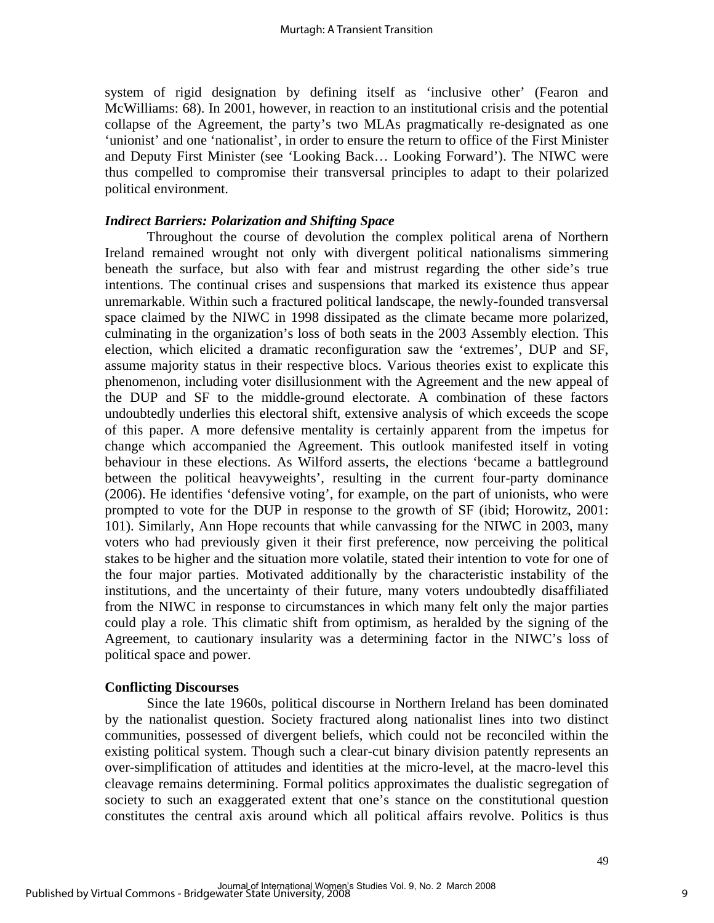system of rigid designation by defining itself as 'inclusive other' (Fearon and McWilliams: 68). In 2001, however, in reaction to an institutional crisis and the potential collapse of the Agreement, the party's two MLAs pragmatically re-designated as one 'unionist' and one 'nationalist', in order to ensure the return to office of the First Minister and Deputy First Minister (see 'Looking Back… Looking Forward'). The NIWC were thus compelled to compromise their transversal principles to adapt to their polarized political environment.

#### *Indirect Barriers: Polarization and Shifting Space*

Throughout the course of devolution the complex political arena of Northern Ireland remained wrought not only with divergent political nationalisms simmering beneath the surface, but also with fear and mistrust regarding the other side's true intentions. The continual crises and suspensions that marked its existence thus appear unremarkable. Within such a fractured political landscape, the newly-founded transversal space claimed by the NIWC in 1998 dissipated as the climate became more polarized, culminating in the organization's loss of both seats in the 2003 Assembly election. This election, which elicited a dramatic reconfiguration saw the 'extremes', DUP and SF, assume majority status in their respective blocs. Various theories exist to explicate this phenomenon, including voter disillusionment with the Agreement and the new appeal of the DUP and SF to the middle-ground electorate. A combination of these factors undoubtedly underlies this electoral shift, extensive analysis of which exceeds the scope of this paper. A more defensive mentality is certainly apparent from the impetus for change which accompanied the Agreement. This outlook manifested itself in voting behaviour in these elections. As Wilford asserts, the elections 'became a battleground between the political heavyweights', resulting in the current four-party dominance (2006). He identifies 'defensive voting', for example, on the part of unionists, who were prompted to vote for the DUP in response to the growth of SF (ibid; Horowitz, 2001: 101). Similarly, Ann Hope recounts that while canvassing for the NIWC in 2003, many voters who had previously given it their first preference, now perceiving the political stakes to be higher and the situation more volatile, stated their intention to vote for one of the four major parties. Motivated additionally by the characteristic instability of the institutions, and the uncertainty of their future, many voters undoubtedly disaffiliated from the NIWC in response to circumstances in which many felt only the major parties could play a role. This climatic shift from optimism, as heralded by the signing of the Agreement, to cautionary insularity was a determining factor in the NIWC's loss of political space and power.

# **Conflicting Discourses**

Since the late 1960s, political discourse in Northern Ireland has been dominated by the nationalist question. Society fractured along nationalist lines into two distinct communities, possessed of divergent beliefs, which could not be reconciled within the existing political system. Though such a clear-cut binary division patently represents an over-simplification of attitudes and identities at the micro-level, at the macro-level this cleavage remains determining. Formal politics approximates the dualistic segregation of society to such an exaggerated extent that one's stance on the constitutional question constitutes the central axis around which all political affairs revolve. Politics is thus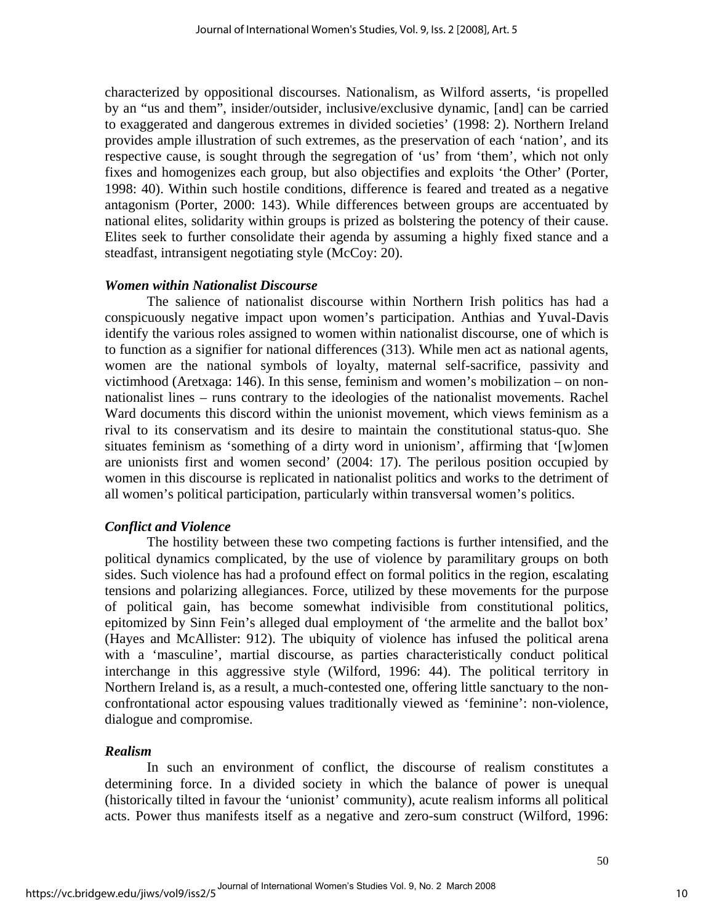characterized by oppositional discourses. Nationalism, as Wilford asserts, 'is propelled by an "us and them", insider/outsider, inclusive/exclusive dynamic, [and] can be carried to exaggerated and dangerous extremes in divided societies' (1998: 2). Northern Ireland provides ample illustration of such extremes, as the preservation of each 'nation', and its respective cause, is sought through the segregation of 'us' from 'them', which not only fixes and homogenizes each group, but also objectifies and exploits 'the Other' (Porter, 1998: 40). Within such hostile conditions, difference is feared and treated as a negative antagonism (Porter, 2000: 143). While differences between groups are accentuated by national elites, solidarity within groups is prized as bolstering the potency of their cause. Elites seek to further consolidate their agenda by assuming a highly fixed stance and a steadfast, intransigent negotiating style (McCoy: 20).

# *Women within Nationalist Discourse*

The salience of nationalist discourse within Northern Irish politics has had a conspicuously negative impact upon women's participation. Anthias and Yuval-Davis identify the various roles assigned to women within nationalist discourse, one of which is to function as a signifier for national differences (313). While men act as national agents, women are the national symbols of loyalty, maternal self-sacrifice, passivity and victimhood (Aretxaga: 146). In this sense, feminism and women's mobilization – on nonnationalist lines – runs contrary to the ideologies of the nationalist movements. Rachel Ward documents this discord within the unionist movement, which views feminism as a rival to its conservatism and its desire to maintain the constitutional status-quo. She situates feminism as 'something of a dirty word in unionism', affirming that '[w]omen are unionists first and women second' (2004: 17). The perilous position occupied by women in this discourse is replicated in nationalist politics and works to the detriment of all women's political participation, particularly within transversal women's politics.

# *Conflict and Violence*

The hostility between these two competing factions is further intensified, and the political dynamics complicated, by the use of violence by paramilitary groups on both sides. Such violence has had a profound effect on formal politics in the region, escalating tensions and polarizing allegiances. Force, utilized by these movements for the purpose of political gain, has become somewhat indivisible from constitutional politics, epitomized by Sinn Fein's alleged dual employment of 'the armelite and the ballot box' (Hayes and McAllister: 912). The ubiquity of violence has infused the political arena with a 'masculine', martial discourse, as parties characteristically conduct political interchange in this aggressive style (Wilford, 1996: 44). The political territory in Northern Ireland is, as a result, a much-contested one, offering little sanctuary to the nonconfrontational actor espousing values traditionally viewed as 'feminine': non-violence, dialogue and compromise.

# *Realism*

In such an environment of conflict, the discourse of realism constitutes a determining force. In a divided society in which the balance of power is unequal (historically tilted in favour the 'unionist' community), acute realism informs all political acts. Power thus manifests itself as a negative and zero-sum construct (Wilford, 1996: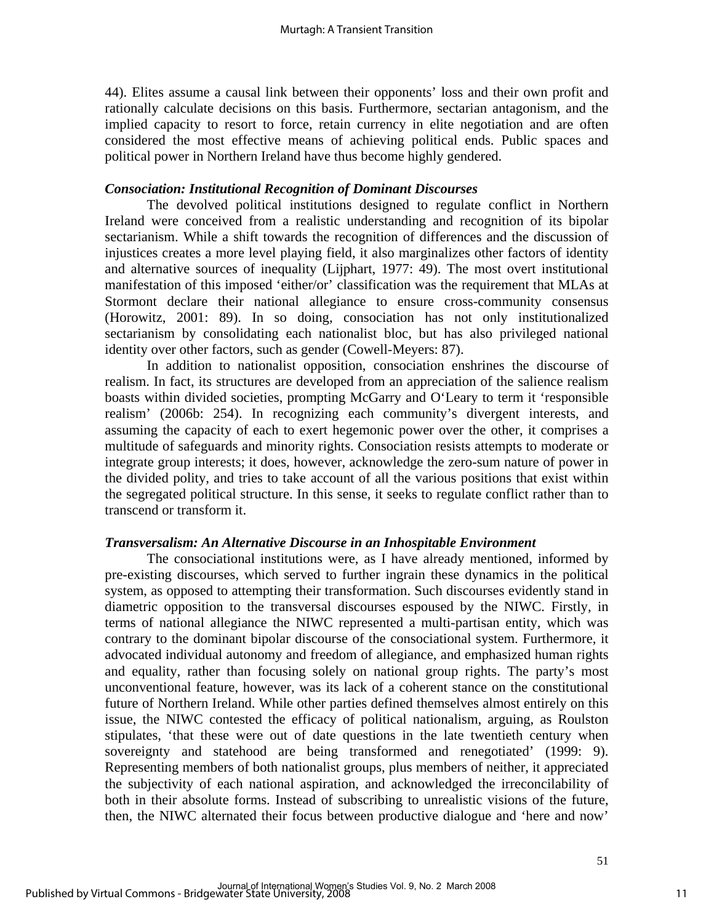44). Elites assume a causal link between their opponents' loss and their own profit and rationally calculate decisions on this basis. Furthermore, sectarian antagonism, and the implied capacity to resort to force, retain currency in elite negotiation and are often considered the most effective means of achieving political ends. Public spaces and political power in Northern Ireland have thus become highly gendered.

# *Consociation: Institutional Recognition of Dominant Discourses*

The devolved political institutions designed to regulate conflict in Northern Ireland were conceived from a realistic understanding and recognition of its bipolar sectarianism. While a shift towards the recognition of differences and the discussion of injustices creates a more level playing field, it also marginalizes other factors of identity and alternative sources of inequality (Lijphart, 1977: 49). The most overt institutional manifestation of this imposed 'either/or' classification was the requirement that MLAs at Stormont declare their national allegiance to ensure cross-community consensus (Horowitz, 2001: 89). In so doing, consociation has not only institutionalized sectarianism by consolidating each nationalist bloc, but has also privileged national identity over other factors, such as gender (Cowell-Meyers: 87).

In addition to nationalist opposition, consociation enshrines the discourse of realism. In fact, its structures are developed from an appreciation of the salience realism boasts within divided societies, prompting McGarry and O'Leary to term it 'responsible realism' (2006b: 254). In recognizing each community's divergent interests, and assuming the capacity of each to exert hegemonic power over the other, it comprises a multitude of safeguards and minority rights. Consociation resists attempts to moderate or integrate group interests; it does, however, acknowledge the zero-sum nature of power in the divided polity, and tries to take account of all the various positions that exist within the segregated political structure. In this sense, it seeks to regulate conflict rather than to transcend or transform it.

#### *Transversalism: An Alternative Discourse in an Inhospitable Environment*

The consociational institutions were, as I have already mentioned, informed by pre-existing discourses, which served to further ingrain these dynamics in the political system, as opposed to attempting their transformation. Such discourses evidently stand in diametric opposition to the transversal discourses espoused by the NIWC. Firstly, in terms of national allegiance the NIWC represented a multi-partisan entity, which was contrary to the dominant bipolar discourse of the consociational system. Furthermore, it advocated individual autonomy and freedom of allegiance, and emphasized human rights and equality, rather than focusing solely on national group rights. The party's most unconventional feature, however, was its lack of a coherent stance on the constitutional future of Northern Ireland. While other parties defined themselves almost entirely on this issue, the NIWC contested the efficacy of political nationalism, arguing, as Roulston stipulates, 'that these were out of date questions in the late twentieth century when sovereignty and statehood are being transformed and renegotiated' (1999: 9). Representing members of both nationalist groups, plus members of neither, it appreciated the subjectivity of each national aspiration, and acknowledged the irreconcilability of both in their absolute forms. Instead of subscribing to unrealistic visions of the future, then, the NIWC alternated their focus between productive dialogue and 'here and now'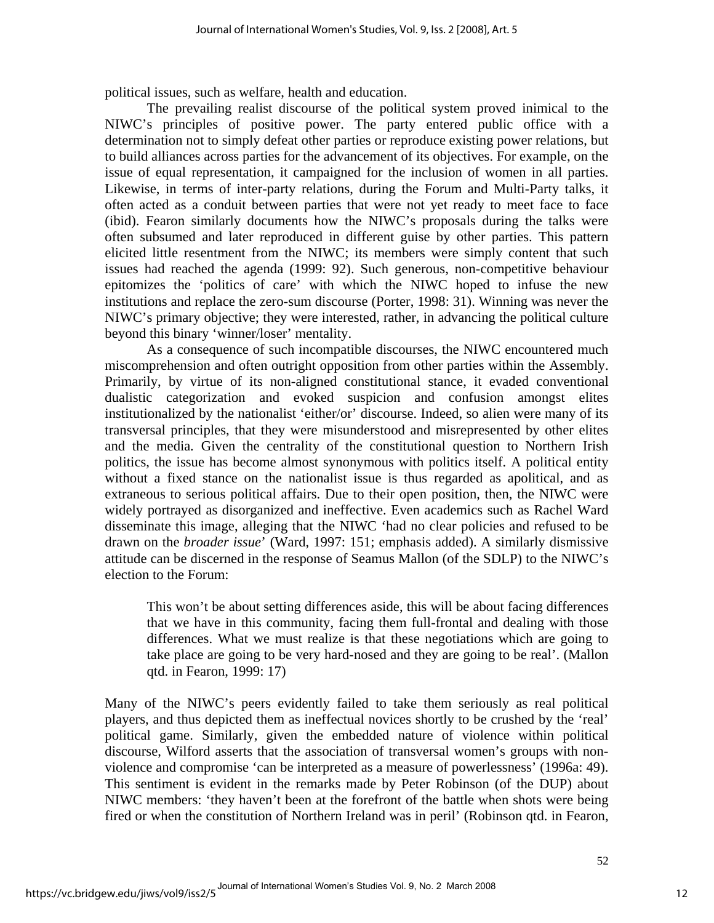political issues, such as welfare, health and education.

The prevailing realist discourse of the political system proved inimical to the NIWC's principles of positive power. The party entered public office with a determination not to simply defeat other parties or reproduce existing power relations, but to build alliances across parties for the advancement of its objectives. For example, on the issue of equal representation, it campaigned for the inclusion of women in all parties. Likewise, in terms of inter-party relations, during the Forum and Multi-Party talks, it often acted as a conduit between parties that were not yet ready to meet face to face (ibid). Fearon similarly documents how the NIWC's proposals during the talks were often subsumed and later reproduced in different guise by other parties. This pattern elicited little resentment from the NIWC; its members were simply content that such issues had reached the agenda (1999: 92). Such generous, non-competitive behaviour epitomizes the 'politics of care' with which the NIWC hoped to infuse the new institutions and replace the zero-sum discourse (Porter, 1998: 31). Winning was never the NIWC's primary objective; they were interested, rather, in advancing the political culture beyond this binary 'winner/loser' mentality.

As a consequence of such incompatible discourses, the NIWC encountered much miscomprehension and often outright opposition from other parties within the Assembly. Primarily, by virtue of its non-aligned constitutional stance, it evaded conventional dualistic categorization and evoked suspicion and confusion amongst elites institutionalized by the nationalist 'either/or' discourse. Indeed, so alien were many of its transversal principles, that they were misunderstood and misrepresented by other elites and the media*.* Given the centrality of the constitutional question to Northern Irish politics, the issue has become almost synonymous with politics itself. A political entity without a fixed stance on the nationalist issue is thus regarded as apolitical, and as extraneous to serious political affairs. Due to their open position, then, the NIWC were widely portrayed as disorganized and ineffective. Even academics such as Rachel Ward disseminate this image, alleging that the NIWC 'had no clear policies and refused to be drawn on the *broader issue*' (Ward, 1997: 151; emphasis added). A similarly dismissive attitude can be discerned in the response of Seamus Mallon (of the SDLP) to the NIWC's election to the Forum:

This won't be about setting differences aside, this will be about facing differences that we have in this community, facing them full-frontal and dealing with those differences. What we must realize is that these negotiations which are going to take place are going to be very hard-nosed and they are going to be real'. (Mallon qtd. in Fearon, 1999: 17)

Many of the NIWC's peers evidently failed to take them seriously as real political players, and thus depicted them as ineffectual novices shortly to be crushed by the 'real' political game. Similarly, given the embedded nature of violence within political discourse, Wilford asserts that the association of transversal women's groups with nonviolence and compromise 'can be interpreted as a measure of powerlessness' (1996a: 49). This sentiment is evident in the remarks made by Peter Robinson (of the DUP) about NIWC members: 'they haven't been at the forefront of the battle when shots were being fired or when the constitution of Northern Ireland was in peril' (Robinson qtd. in Fearon,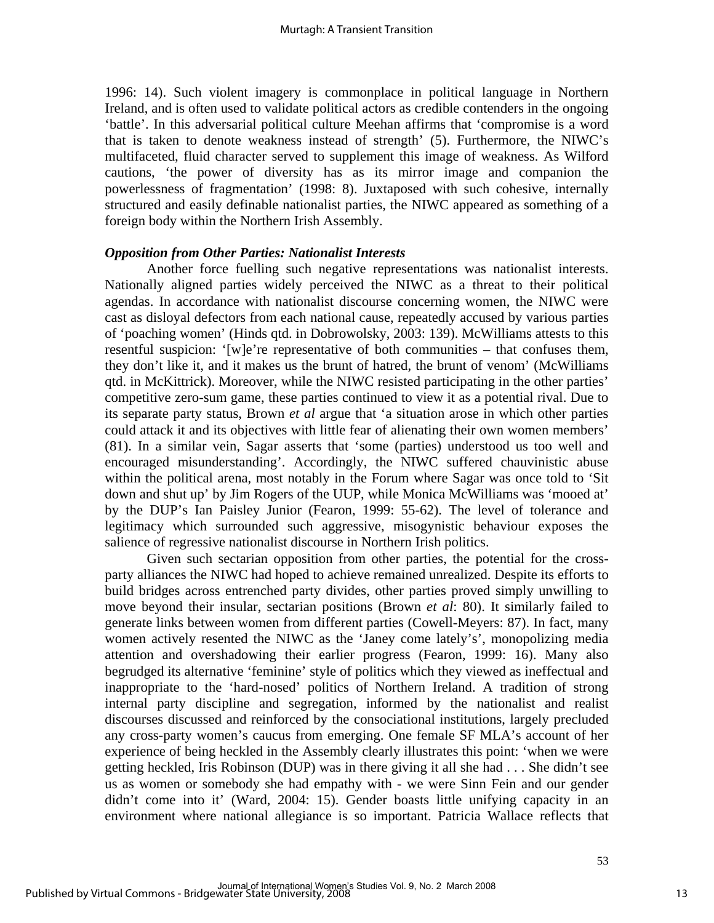1996: 14). Such violent imagery is commonplace in political language in Northern Ireland, and is often used to validate political actors as credible contenders in the ongoing 'battle'. In this adversarial political culture Meehan affirms that 'compromise is a word that is taken to denote weakness instead of strength' (5). Furthermore, the NIWC's multifaceted, fluid character served to supplement this image of weakness. As Wilford cautions, 'the power of diversity has as its mirror image and companion the powerlessness of fragmentation' (1998: 8). Juxtaposed with such cohesive, internally structured and easily definable nationalist parties, the NIWC appeared as something of a foreign body within the Northern Irish Assembly.

#### *Opposition from Other Parties: Nationalist Interests*

Another force fuelling such negative representations was nationalist interests. Nationally aligned parties widely perceived the NIWC as a threat to their political agendas. In accordance with nationalist discourse concerning women, the NIWC were cast as disloyal defectors from each national cause, repeatedly accused by various parties of 'poaching women' (Hinds qtd. in Dobrowolsky, 2003: 139). McWilliams attests to this resentful suspicion: '[w]e're representative of both communities – that confuses them, they don't like it, and it makes us the brunt of hatred, the brunt of venom' (McWilliams qtd. in McKittrick). Moreover, while the NIWC resisted participating in the other parties' competitive zero-sum game, these parties continued to view it as a potential rival. Due to its separate party status, Brown *et al* argue that 'a situation arose in which other parties could attack it and its objectives with little fear of alienating their own women members' (81). In a similar vein, Sagar asserts that 'some (parties) understood us too well and encouraged misunderstanding'. Accordingly, the NIWC suffered chauvinistic abuse within the political arena, most notably in the Forum where Sagar was once told to 'Sit down and shut up' by Jim Rogers of the UUP, while Monica McWilliams was 'mooed at' by the DUP's Ian Paisley Junior (Fearon, 1999: 55-62). The level of tolerance and legitimacy which surrounded such aggressive, misogynistic behaviour exposes the salience of regressive nationalist discourse in Northern Irish politics.

Given such sectarian opposition from other parties, the potential for the crossparty alliances the NIWC had hoped to achieve remained unrealized. Despite its efforts to build bridges across entrenched party divides, other parties proved simply unwilling to move beyond their insular, sectarian positions (Brown *et al*: 80). It similarly failed to generate links between women from different parties (Cowell-Meyers: 87). In fact, many women actively resented the NIWC as the 'Janey come lately's', monopolizing media attention and overshadowing their earlier progress (Fearon, 1999: 16). Many also begrudged its alternative 'feminine' style of politics which they viewed as ineffectual and inappropriate to the 'hard-nosed' politics of Northern Ireland. A tradition of strong internal party discipline and segregation, informed by the nationalist and realist discourses discussed and reinforced by the consociational institutions, largely precluded any cross-party women's caucus from emerging. One female SF MLA's account of her experience of being heckled in the Assembly clearly illustrates this point: 'when we were getting heckled, Iris Robinson (DUP) was in there giving it all she had . . . She didn't see us as women or somebody she had empathy with - we were Sinn Fein and our gender didn't come into it' (Ward, 2004: 15). Gender boasts little unifying capacity in an environment where national allegiance is so important. Patricia Wallace reflects that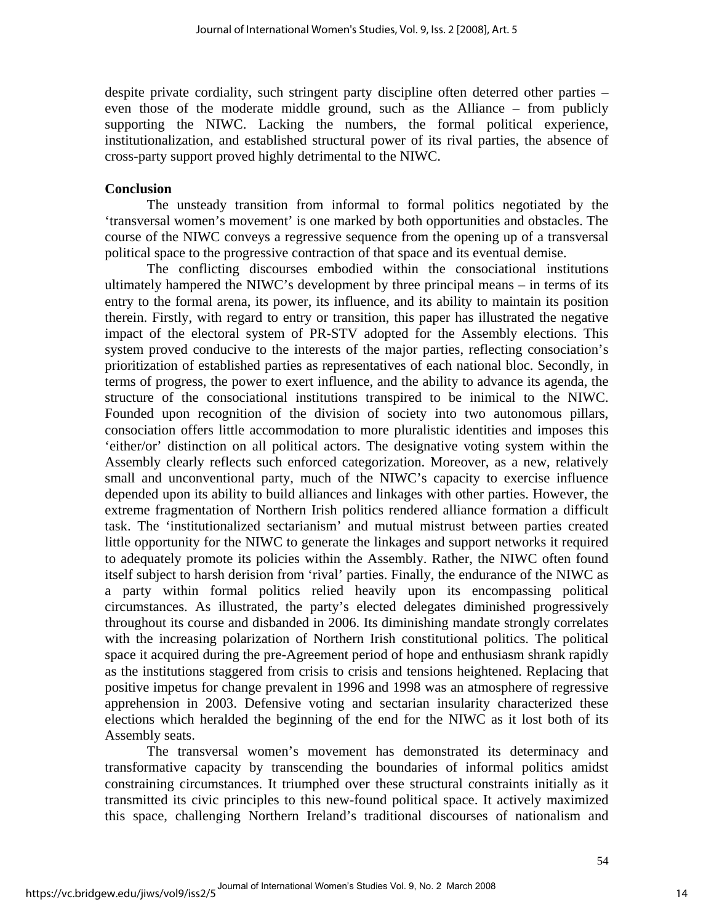despite private cordiality, such stringent party discipline often deterred other parties – even those of the moderate middle ground, such as the Alliance – from publicly supporting the NIWC. Lacking the numbers, the formal political experience, institutionalization, and established structural power of its rival parties, the absence of cross-party support proved highly detrimental to the NIWC.

#### **Conclusion**

The unsteady transition from informal to formal politics negotiated by the 'transversal women's movement' is one marked by both opportunities and obstacles. The course of the NIWC conveys a regressive sequence from the opening up of a transversal political space to the progressive contraction of that space and its eventual demise.

The conflicting discourses embodied within the consociational institutions ultimately hampered the NIWC's development by three principal means – in terms of its entry to the formal arena, its power, its influence, and its ability to maintain its position therein. Firstly, with regard to entry or transition, this paper has illustrated the negative impact of the electoral system of PR-STV adopted for the Assembly elections. This system proved conducive to the interests of the major parties, reflecting consociation's prioritization of established parties as representatives of each national bloc. Secondly, in terms of progress, the power to exert influence, and the ability to advance its agenda, the structure of the consociational institutions transpired to be inimical to the NIWC. Founded upon recognition of the division of society into two autonomous pillars, consociation offers little accommodation to more pluralistic identities and imposes this 'either/or' distinction on all political actors. The designative voting system within the Assembly clearly reflects such enforced categorization. Moreover, as a new, relatively small and unconventional party, much of the NIWC's capacity to exercise influence depended upon its ability to build alliances and linkages with other parties. However, the extreme fragmentation of Northern Irish politics rendered alliance formation a difficult task. The 'institutionalized sectarianism' and mutual mistrust between parties created little opportunity for the NIWC to generate the linkages and support networks it required to adequately promote its policies within the Assembly. Rather, the NIWC often found itself subject to harsh derision from 'rival' parties. Finally, the endurance of the NIWC as a party within formal politics relied heavily upon its encompassing political circumstances. As illustrated, the party's elected delegates diminished progressively throughout its course and disbanded in 2006. Its diminishing mandate strongly correlates with the increasing polarization of Northern Irish constitutional politics. The political space it acquired during the pre-Agreement period of hope and enthusiasm shrank rapidly as the institutions staggered from crisis to crisis and tensions heightened. Replacing that positive impetus for change prevalent in 1996 and 1998 was an atmosphere of regressive apprehension in 2003. Defensive voting and sectarian insularity characterized these elections which heralded the beginning of the end for the NIWC as it lost both of its Assembly seats.

The transversal women's movement has demonstrated its determinacy and transformative capacity by transcending the boundaries of informal politics amidst constraining circumstances. It triumphed over these structural constraints initially as it transmitted its civic principles to this new-found political space. It actively maximized this space, challenging Northern Ireland's traditional discourses of nationalism and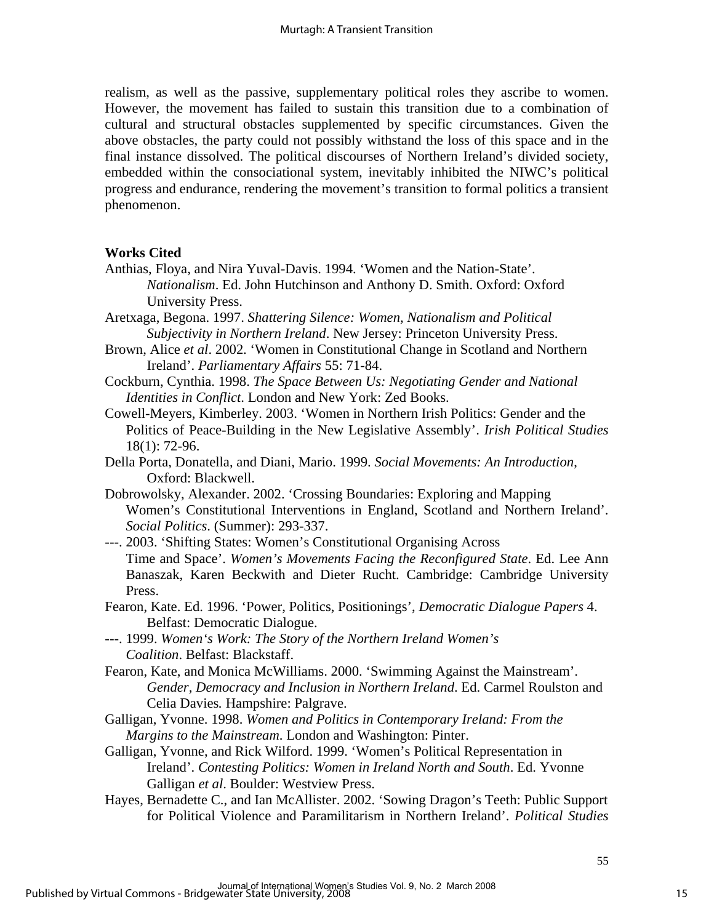realism, as well as the passive, supplementary political roles they ascribe to women. However, the movement has failed to sustain this transition due to a combination of cultural and structural obstacles supplemented by specific circumstances. Given the above obstacles, the party could not possibly withstand the loss of this space and in the final instance dissolved. The political discourses of Northern Ireland's divided society, embedded within the consociational system, inevitably inhibited the NIWC's political progress and endurance, rendering the movement's transition to formal politics a transient phenomenon.

# **Works Cited**

- Anthias, Floya, and Nira Yuval-Davis. 1994. 'Women and the Nation-State'. *Nationalism*. Ed. John Hutchinson and Anthony D. Smith. Oxford: Oxford University Press.
- Aretxaga, Begona. 1997. *Shattering Silence: Women, Nationalism and Political Subjectivity in Northern Ireland*. New Jersey: Princeton University Press.
- Brown, Alice *et al*. 2002. 'Women in Constitutional Change in Scotland and Northern Ireland'. *Parliamentary Affairs* 55: 71-84.
- Cockburn, Cynthia. 1998. *The Space Between Us: Negotiating Gender and National Identities in Conflict*. London and New York: Zed Books.
- Cowell-Meyers, Kimberley. 2003. 'Women in Northern Irish Politics: Gender and the Politics of Peace-Building in the New Legislative Assembly'. *Irish Political Studies* 18(1): 72-96.
- Della Porta, Donatella, and Diani, Mario. 1999. *Social Movements: An Introduction*, Oxford: Blackwell.
- Dobrowolsky, Alexander. 2002. 'Crossing Boundaries: Exploring and Mapping Women's Constitutional Interventions in England, Scotland and Northern Ireland'. *Social Politics*. (Summer): 293-337.
- ---. 2003. 'Shifting States: Women's Constitutional Organising Across Time and Space'. *Women's Movements Facing the Reconfigured State*. Ed. Lee Ann Banaszak, Karen Beckwith and Dieter Rucht. Cambridge: Cambridge University Press.
- Fearon, Kate. Ed. 1996. 'Power, Politics, Positionings', *Democratic Dialogue Papers* 4. Belfast: Democratic Dialogue.
- ---. 1999. *Women's Work: The Story of the Northern Ireland Women's Coalition*. Belfast: Blackstaff.
- Fearon, Kate, and Monica McWilliams. 2000. 'Swimming Against the Mainstream'. *Gender, Democracy and Inclusion in Northern Ireland*. Ed. Carmel Roulston and Celia Davies*.* Hampshire: Palgrave.
- Galligan, Yvonne. 1998. *Women and Politics in Contemporary Ireland: From the Margins to the Mainstream*. London and Washington: Pinter.
- Galligan, Yvonne, and Rick Wilford. 1999. 'Women's Political Representation in Ireland'. *Contesting Politics: Women in Ireland North and South*. Ed. Yvonne Galligan *et al*. Boulder: Westview Press.
- Hayes, Bernadette C., and Ian McAllister. 2002. 'Sowing Dragon's Teeth: Public Support for Political Violence and Paramilitarism in Northern Ireland'. *Political Studies*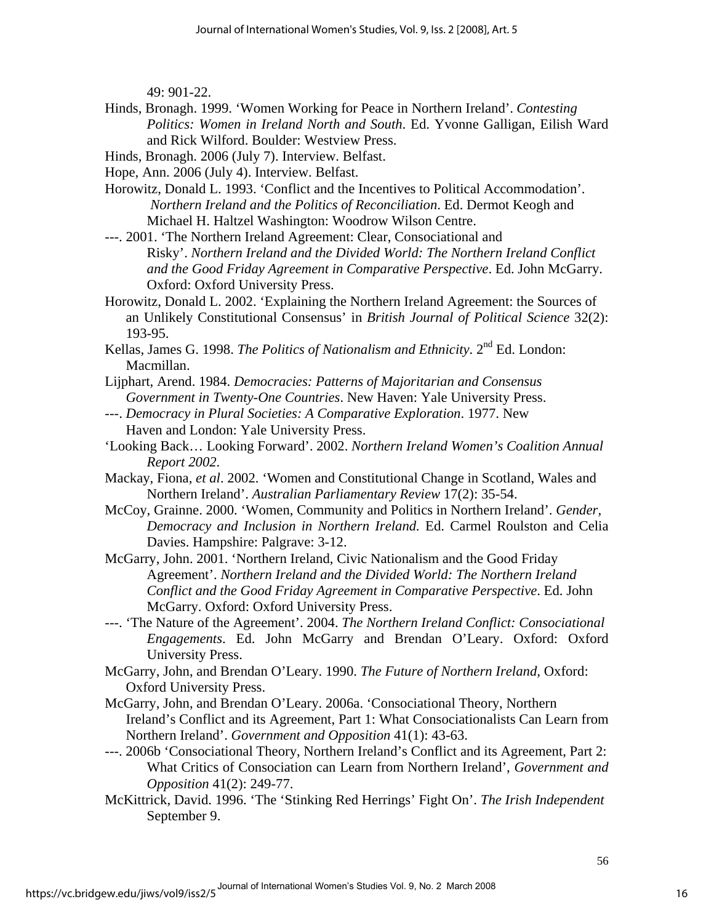49: 901-22.

- Hinds, Bronagh. 1999. 'Women Working for Peace in Northern Ireland'. *Contesting Politics: Women in Ireland North and South*. Ed. Yvonne Galligan, Eilish Ward and Rick Wilford. Boulder: Westview Press.
- Hinds, Bronagh. 2006 (July 7). Interview. Belfast.

Hope, Ann. 2006 (July 4). Interview. Belfast.

Horowitz, Donald L. 1993. 'Conflict and the Incentives to Political Accommodation'. *Northern Ireland and the Politics of Reconciliation*. Ed. Dermot Keogh and Michael H. Haltzel Washington: Woodrow Wilson Centre.

---. 2001. 'The Northern Ireland Agreement: Clear, Consociational and Risky'. *Northern Ireland and the Divided World: The Northern Ireland Conflict and the Good Friday Agreement in Comparative Perspective*. Ed. John McGarry. Oxford: Oxford University Press.

Horowitz, Donald L. 2002. 'Explaining the Northern Ireland Agreement: the Sources of an Unlikely Constitutional Consensus' in *British Journal of Political Science* 32(2): 193-95.

Kellas, James G. 1998. *The Politics of Nationalism and Ethnicity*. 2<sup>nd</sup> Ed. London: Macmillan.

- Lijphart, Arend. 1984. *Democracies: Patterns of Majoritarian and Consensus Government in Twenty-One Countries*. New Haven: Yale University Press.
- ---. *Democracy in Plural Societies: A Comparative Exploration*. 1977. New Haven and London: Yale University Press.
- 'Looking Back… Looking Forward'. 2002. *Northern Ireland Women's Coalition Annual Report 2002*.
- Mackay, Fiona, *et al*. 2002. 'Women and Constitutional Change in Scotland, Wales and Northern Ireland'. *Australian Parliamentary Review* 17(2): 35-54.
- McCoy, Grainne. 2000. 'Women, Community and Politics in Northern Ireland'. *Gender, Democracy and Inclusion in Northern Ireland.* Ed. Carmel Roulston and Celia Davies. Hampshire: Palgrave: 3-12.
- McGarry, John. 2001. 'Northern Ireland, Civic Nationalism and the Good Friday Agreement'. *Northern Ireland and the Divided World: The Northern Ireland Conflict and the Good Friday Agreement in Comparative Perspective*. Ed. John McGarry. Oxford: Oxford University Press.

---. 'The Nature of the Agreement'. 2004. *The Northern Ireland Conflict: Consociational Engagements*. Ed. John McGarry and Brendan O'Leary. Oxford: Oxford University Press.

- McGarry, John, and Brendan O'Leary. 1990. *The Future of Northern Ireland,* Oxford: Oxford University Press.
- McGarry, John, and Brendan O'Leary. 2006a. 'Consociational Theory, Northern Ireland's Conflict and its Agreement, Part 1: What Consociationalists Can Learn from Northern Ireland'. *Government and Opposition* 41(1): 43-63.
- ---. 2006b 'Consociational Theory, Northern Ireland's Conflict and its Agreement, Part 2: What Critics of Consociation can Learn from Northern Ireland', *Government and Opposition* 41(2): 249-77.
- McKittrick, David. 1996. 'The 'Stinking Red Herrings' Fight On'. *The Irish Independent* September 9.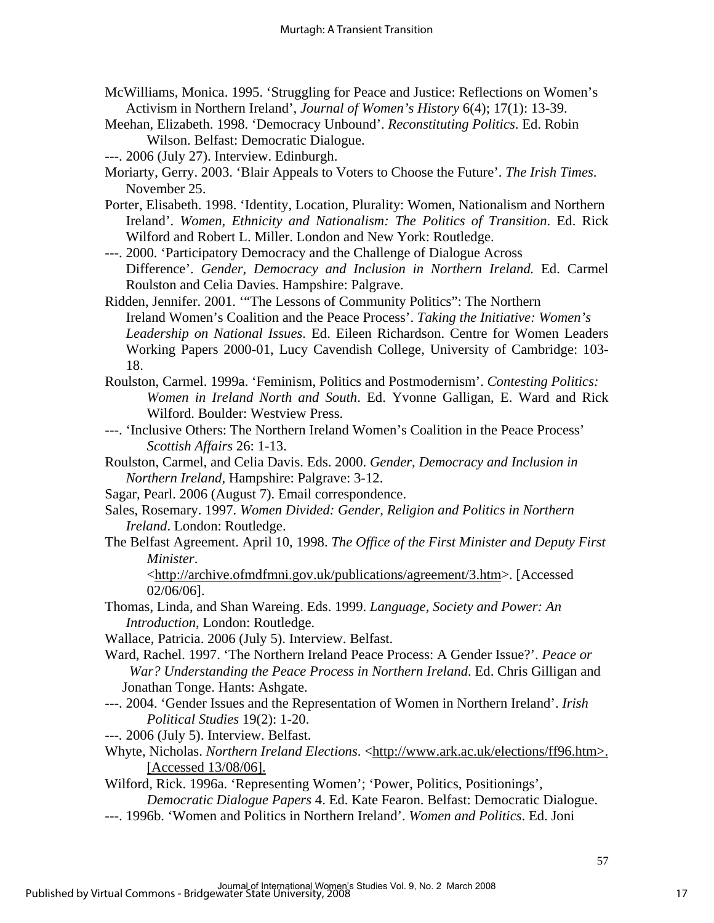- McWilliams, Monica. 1995. 'Struggling for Peace and Justice: Reflections on Women's Activism in Northern Ireland', *Journal of Women's History* 6(4); 17(1): 13-39.
- Meehan, Elizabeth. 1998. 'Democracy Unbound'. *Reconstituting Politics*. Ed. Robin Wilson. Belfast: Democratic Dialogue.
- ---. 2006 (July 27). Interview. Edinburgh.
- Moriarty, Gerry. 2003. 'Blair Appeals to Voters to Choose the Future'. *The Irish Times*. November 25.
- Porter, Elisabeth. 1998. 'Identity, Location, Plurality: Women, Nationalism and Northern Ireland'. *Women, Ethnicity and Nationalism: The Politics of Transition*. Ed. Rick Wilford and Robert L. Miller. London and New York: Routledge.
- ---. 2000. 'Participatory Democracy and the Challenge of Dialogue Across Difference'. *Gender, Democracy and Inclusion in Northern Ireland.* Ed. Carmel Roulston and Celia Davies. Hampshire: Palgrave.
- Ridden, Jennifer. 2001. '"The Lessons of Community Politics": The Northern Ireland Women's Coalition and the Peace Process'. *Taking the Initiative: Women's Leadership on National Issues*. Ed. Eileen Richardson. Centre for Women Leaders Working Papers 2000-01, Lucy Cavendish College, University of Cambridge: 103- 18.
- Roulston, Carmel. 1999a. 'Feminism, Politics and Postmodernism'. *Contesting Politics: Women in Ireland North and South*. Ed. Yvonne Galligan, E. Ward and Rick Wilford. Boulder: Westview Press.
- ---. 'Inclusive Others: The Northern Ireland Women's Coalition in the Peace Process' *Scottish Affairs* 26: 1-13.
- Roulston, Carmel, and Celia Davis. Eds. 2000. *Gender, Democracy and Inclusion in Northern Ireland,* Hampshire: Palgrave: 3-12.
- Sagar, Pearl. 2006 (August 7). Email correspondence.
- Sales, Rosemary. 1997. *Women Divided: Gender, Religion and Politics in Northern Ireland*. London: Routledge.
- The Belfast Agreement. April 10, 1998. *The Office of the First Minister and Deputy First Minister*.

<http://archive.ofmdfmni.gov.uk/publications/agreement/3.htm>. [Accessed 02/06/06].

Thomas, Linda, and Shan Wareing. Eds. 1999. *Language, Society and Power: An Introduction*, London: Routledge.

Wallace, Patricia. 2006 (July 5). Interview. Belfast.

- Ward, Rachel. 1997. 'The Northern Ireland Peace Process: A Gender Issue?'. *Peace or War? Understanding the Peace Process in Northern Ireland*. Ed. Chris Gilligan and Jonathan Tonge. Hants: Ashgate.
- ---. 2004. 'Gender Issues and the Representation of Women in Northern Ireland'. *Irish Political Studies* 19(2): 1-20.
- *---.* 2006 (July 5). Interview. Belfast.
- Whyte, Nicholas. *Northern Ireland Elections*. <http://www.ark.ac.uk/elections/ff96.htm>. [Accessed 13/08/06].

Wilford, Rick. 1996a. 'Representing Women'; 'Power, Politics, Positionings', *Democratic Dialogue Papers* 4. Ed. Kate Fearon. Belfast: Democratic Dialogue.

---. 1996b. 'Women and Politics in Northern Ireland'. *Women and Politics*. Ed. Joni